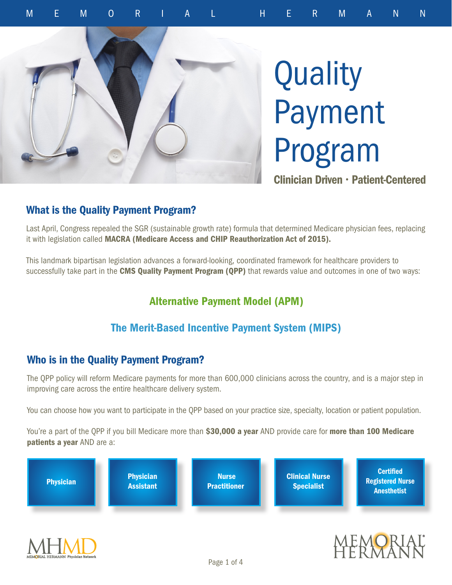

# **Quality** Payment Program

Clinician Driven • Patient-Centered

#### What is the Quality Payment Program?

Last April, Congress repealed the SGR (sustainable growth rate) formula that determined Medicare physician fees, replacing it with legislation called MACRA (Medicare Access and CHIP Reauthorization Act of 2015).

This landmark bipartisan legislation advances a forward-looking, coordinated framework for healthcare providers to successfully take part in the CMS Quality Payment Program (QPP) that rewards value and outcomes in one of two ways:

# Alternative Payment Model (APM)

## The Merit-Based Incentive Payment System (MIPS)

#### Who is in the Quality Payment Program?

The QPP policy will reform Medicare payments for more than 600,000 clinicians across the country, and is a major step in improving care across the entire healthcare delivery system.

You can choose how you want to participate in the QPP based on your practice size, specialty, location or patient population.

You're a part of the QPP if you bill Medicare more than \$30,000 a year AND provide care for more than 100 Medicare patients a year AND are a:

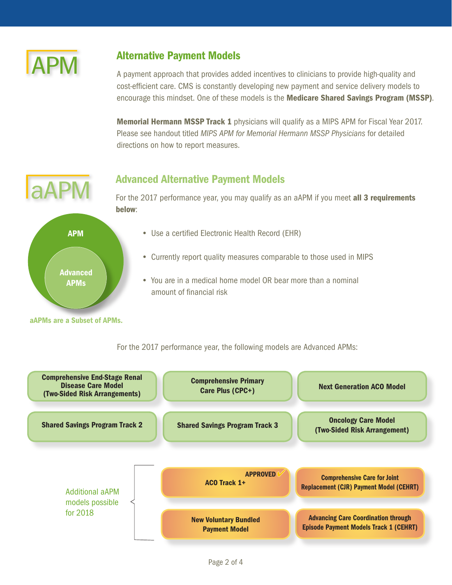

#### Alternative Payment Models

A payment approach that provides added incentives to clinicians to provide high-quality and cost-efficient care. CMS is constantly developing new payment and service delivery models to encourage this mindset. One of these models is the Medicare Shared Savings Program (MSSP).

**Memorial Hermann MSSP Track 1** physicians will qualify as a MIPS APM for Fiscal Year 2017. Please see handout titled *MIPS APM for Memorial Hermann MSSP Physicians* for detailed directions on how to report measures.

#### Advanced Alternative Payment Models



For the 2017 performance year, you may qualify as an aAPM if you meet all 3 requirements below:

- Use a certified Electronic Health Record (EHR)
- Currently report quality measures comparable to those used in MIPS
- You are in a medical home model OR bear more than a nominal amount of financial risk

For the 2017 performance year, the following models are Advanced APMs:

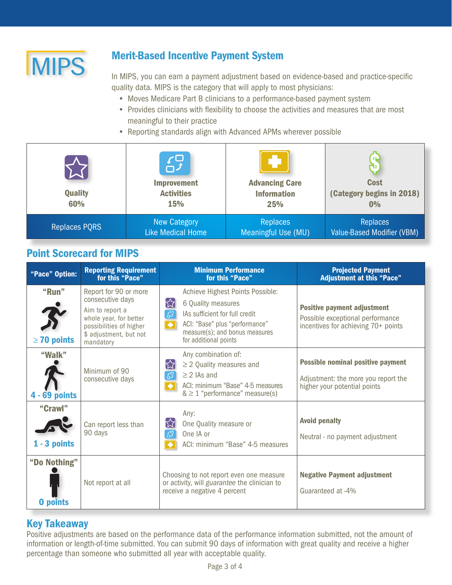

# Merit-Based Incentive Payment System

In MIPS, you can earn a payment adjustment based on evidence-based and practice-specific quality data. MIPS is the category that will apply to most physicians:

- Moves Medicare Part B clinicians to a performance-based payment system
- Provides clinicians with flexibility to choose the activities and measures that are most meaningful to their practice
- Reporting standards align with Advanced APMs wherever possible

| <b>Quality</b><br>60% | $\mathcal{L}$<br><b>Improvement</b><br><b>Activities</b><br>15% | <b>Advancing Care</b><br><b>Information</b><br>25% | <b>Cost</b><br>(Category begins in 2018)<br>0% |
|-----------------------|-----------------------------------------------------------------|----------------------------------------------------|------------------------------------------------|
| <b>Replaces PORS</b>  | <b>New Category</b>                                             | <b>Replaces</b>                                    | <b>Replaces</b>                                |
|                       | <b>Like Medical Home</b>                                        | Meaningful Use (MU)                                | Value-Based Modifier (VBM)                     |

#### Point Scorecard for MIPS

| "Pace" Option:                  | <b>Reporting Requirement</b><br>for this "Pace"                                                                                                          | <b>Minimum Performance</b><br>for this "Pace"                                                                                                                                                                                     | <b>Projected Payment</b><br><b>Adjustment at this "Pace"</b>                                                    |
|---------------------------------|----------------------------------------------------------------------------------------------------------------------------------------------------------|-----------------------------------------------------------------------------------------------------------------------------------------------------------------------------------------------------------------------------------|-----------------------------------------------------------------------------------------------------------------|
| "Run"<br>$\geq$ 70 points       | Report for 90 or more<br>consecutive days<br>Aim to report a<br>whole year, for better<br>possibilities of higher<br>\$ adjustment, but not<br>mandatory | Achieve Highest Points Possible:<br>均<br>6 Quality measures<br>$E_{\rm p}$<br>IAs sufficient for full credit<br>ACI: "Base" plus "performance"<br>$\overline{\bullet}$<br>measure(s); and bonus measures<br>for additional points | <b>Positive payment adjustment</b><br>Possible exceptional performance<br>incentives for achieving 70+ points   |
| "Walk"<br><b>4 - 69 points</b>  | Minimum of 90<br>consecutive days                                                                                                                        | Any combination of:<br>서<br>$\geq$ 2 Quality measures and<br>59<br>$\geq$ 2 IAs and<br>ACI: minimum "Base" 4-5 measures<br>$\bullet$<br>$& \geq 1$ "performance" measure(s)                                                       | <b>Possible nominal positive payment</b><br>Adjustment: the more you report the<br>higher your potential points |
| "Crawl"<br>$1 - 3$ points       | Can report less than<br>90 days                                                                                                                          | Any:<br>$\left[\begin{matrix} 2 \\ 3 \end{matrix}\right]$<br>One Quality measure or<br>$f_{\mathcal{F}}^{\mathcal{G}}$<br>One IA or<br>ACI: minimum "Base" 4-5 measures<br>٠                                                      | <b>Avoid penalty</b><br>Neutral - no payment adjustment                                                         |
| "Do Nothing"<br><b>O</b> points | Not report at all                                                                                                                                        | Choosing to not report even one measure<br>or activity, will guarantee the clinician to<br>receive a negative 4 percent                                                                                                           | <b>Negative Payment adjustment</b><br>Guaranteed at -4%                                                         |

#### Key Takeaway

Positive adjustments are based on the performance data of the performance information submitted, not the amount of information or length-of-time submitted. You can submit 90 days of information with great quality and receive a higher percentage than someone who submitted all year with acceptable quality.